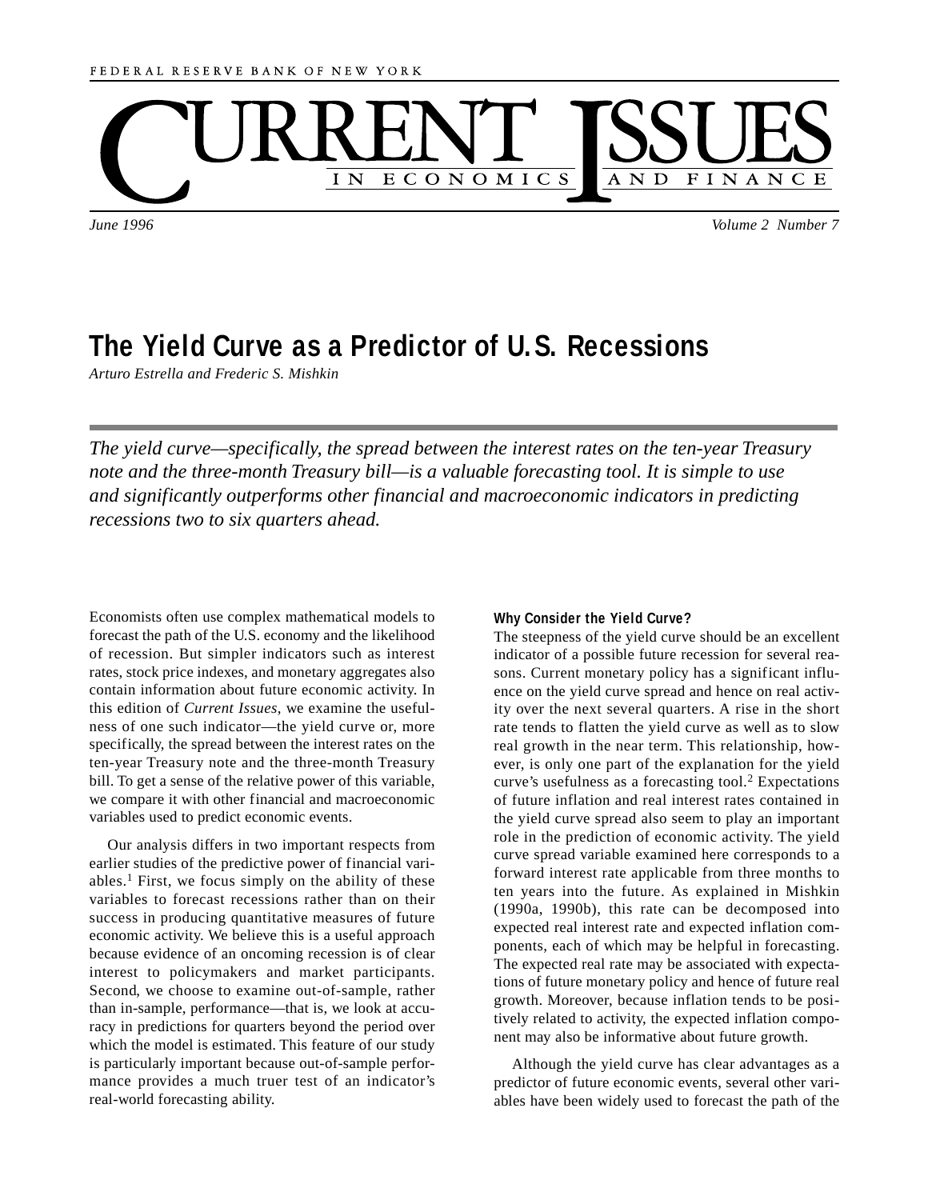

*June 1996 Volume 2 Number 7*

# **The Yield Curve as a Predictor of U.S. Recessions**

*Arturo Estrella and Frederic S. Mishkin*

*The yield curve—specifically, the spread between the interest rates on the ten-year Treasury note and the three-month Treasury bill—is a valuable forecasting tool. It is simple to use and significantly outperforms other financial and macroeconomic indicators in predicting recessions two to six quarters ahead.*

Economists often use complex mathematical models to forecast the path of the U.S. economy and the likelihood of recession. But simpler indicators such as interest rates, stock price indexes, and monetary aggregates also contain information about future economic activity. In this edition of *Current Issues*, we examine the usefulness of one such indicator—the yield curve or, more specifically, the spread between the interest rates on the ten-year Treasury note and the three-month Treasury bill. To get a sense of the relative power of this variable, we compare it with other financial and macroeconomic variables used to predict economic events.

Our analysis differs in two important respects from earlier studies of the predictive power of financial variables.<sup>1</sup> First, we focus simply on the ability of these variables to forecast recessions rather than on their success in producing quantitative measures of future economic activity. We believe this is a useful approach because evidence of an oncoming recession is of clear interest to policymakers and market participants. Second, we choose to examine out-of-sample, rather than in-sample, performance—that is, we look at accuracy in predictions for quarters beyond the period over which the model is estimated. This feature of our study is particularly important because out-of-sample performance provides a much truer test of an indicator's real-world forecasting ability.

#### **Why Consider the Yield Curve?**

The steepness of the yield curve should be an excellent indicator of a possible future recession for several reasons. Current monetary policy has a significant influence on the yield curve spread and hence on real activity over the next several quarters. A rise in the short rate tends to flatten the yield curve as well as to slow real growth in the near term. This relationship, however, is only one part of the explanation for the yield curve's usefulness as a forecasting tool.<sup>2</sup> Expectations of future inflation and real interest rates contained in the yield curve spread also seem to play an important role in the prediction of economic activity. The yield curve spread variable examined here corresponds to a forward interest rate applicable from three months to ten years into the future. As explained in Mishkin (1990a, 1990b), this rate can be decomposed into expected real interest rate and expected inflation components, each of which may be helpful in forecasting. The expected real rate may be associated with expectations of future monetary policy and hence of future real growth. Moreover, because inflation tends to be positively related to activity, the expected inflation component may also be informative about future growth.

Although the yield curve has clear advantages as a predictor of future economic events, several other variables have been widely used to forecast the path of the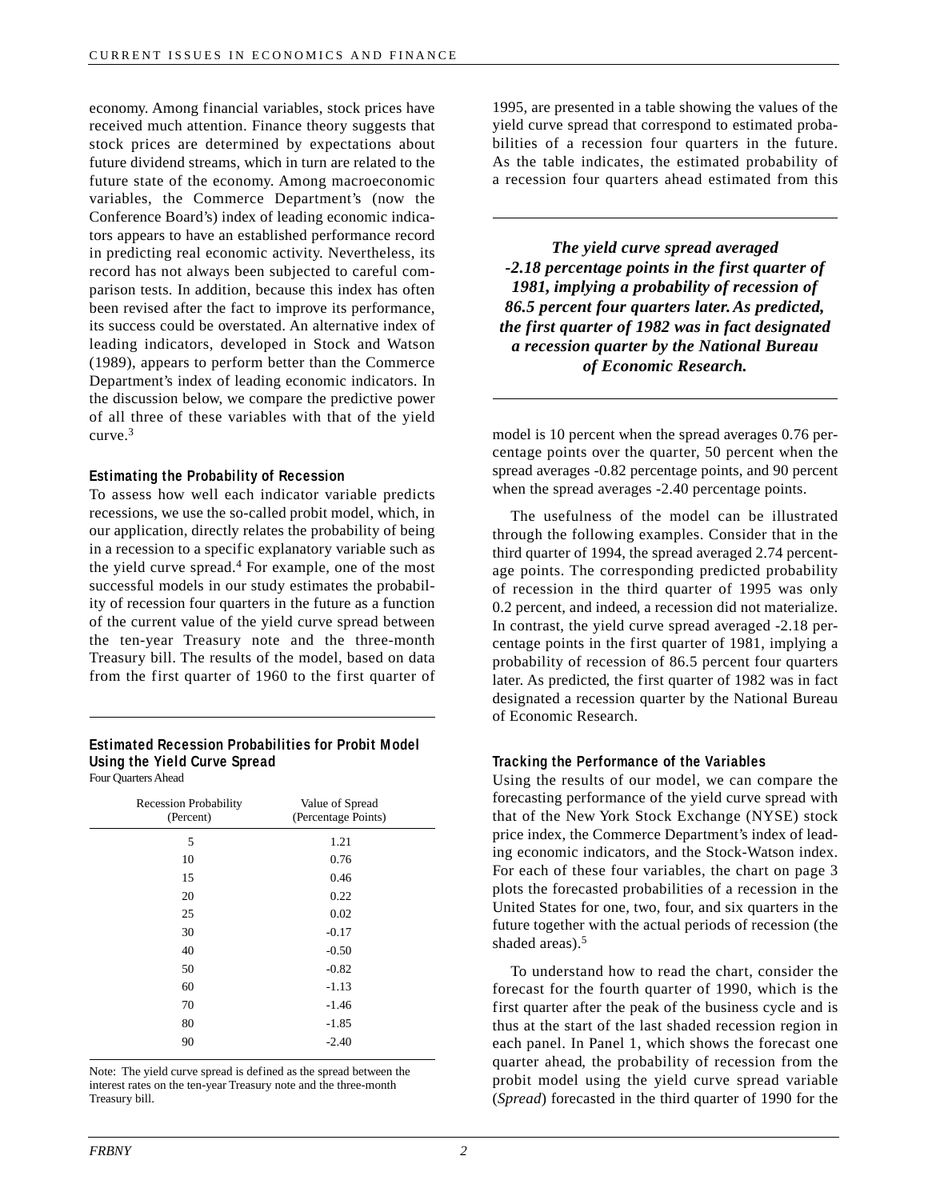economy. Among financial variables, stock prices have received much attention. Finance theory suggests that stock prices are determined by expectations about future dividend streams, which in turn are related to the future state of the economy. Among macroeconomic variables, the Commerce Department's (now the Conference Board's) index of leading economic indicators appears to have an established performance record in predicting real economic activity. Nevertheless, its record has not always been subjected to careful comparison tests. In addition, because this index has often been revised after the fact to improve its performance, its success could be overstated. An alternative index of leading indicators, developed in Stock and Watson (1989), appears to perform better than the Commerce Department's index of leading economic indicators. In the discussion below, we compare the predictive power of all three of these variables with that of the yield curve.<sup>3</sup>

# **Estimating the Probability of Recession**

To assess how well each indicator variable predicts recessions, we use the so-called probit model, which, in our application, directly relates the probability of being in a recession to a specific explanatory variable such as the yield curve spread.<sup>4</sup> For example, one of the most successful models in our study estimates the probability of recession four quarters in the future as a function of the current value of the yield curve spread between the ten-year Treasury note and the three-month Treasury bill. The results of the model, based on data from the first quarter of 1960 to the first quarter of

# **Estimated Recession Probabilities for Probit Model Using the Yield Curve Spread**

Four Quarters Ahead

| <b>Recession Probability</b><br>(Percent) | Value of Spread<br>(Percentage Points) |  |
|-------------------------------------------|----------------------------------------|--|
| 5                                         | 1.21                                   |  |
| 10                                        | 0.76                                   |  |
| 15                                        | 0.46                                   |  |
| 20                                        | 0.22                                   |  |
| 25                                        | 0.02                                   |  |
| 30                                        | $-0.17$                                |  |
| 40                                        | $-0.50$                                |  |
| 50                                        | $-0.82$                                |  |
| 60                                        | $-1.13$                                |  |
| 70                                        | $-1.46$                                |  |
| 80                                        | $-1.85$                                |  |
| 90                                        | $-2.40$                                |  |
|                                           |                                        |  |

Note: The yield curve spread is defined as the spread between the interest rates on the ten-year Treasury note and the three-month Treasury bill.

1995, are presented in a table showing the values of the yield curve spread that correspond to estimated probabilities of a recession four quarters in the future. As the table indicates, the estimated probability of a recession four quarters ahead estimated from this

*The yield curve spread averaged -2.18 percentage points in the first quarter of 1981, implying a probability of recession of 86.5 percent four quarters later. As predicted, the first quarter of 1982 was in fact designated a recession quarter by the National Bureau of Economic Research.*

model is 10 percent when the spread averages 0.76 percentage points over the quarter, 50 percent when the spread averages -0.82 percentage points, and 90 percent when the spread averages -2.40 percentage points.

The usefulness of the model can be illustrated through the following examples. Consider that in the third quarter of 1994, the spread averaged 2.74 percentage points. The corresponding predicted probability of recession in the third quarter of 1995 was only 0.2 percent, and indeed, a recession did not materialize. In contrast, the yield curve spread averaged -2.18 percentage points in the first quarter of 1981, implying a probability of recession of 86.5 percent four quarters later. As predicted, the first quarter of 1982 was in fact designated a recession quarter by the National Bureau of Economic Research.

# **Tracking the Performance of the Variables**

Using the results of our model, we can compare the forecasting performance of the yield curve spread with that of the New York Stock Exchange (NYSE) stock price index, the Commerce Department's index of leading economic indicators, and the Stock-Watson index. For each of these four variables, the chart on page 3 plots the forecasted probabilities of a recession in the United States for one, two, four, and six quarters in the future together with the actual periods of recession (the shaded areas).<sup>5</sup>

To understand how to read the chart, consider the forecast for the fourth quarter of 1990, which is the first quarter after the peak of the business cycle and is thus at the start of the last shaded recession region in each panel. In Panel 1, which shows the forecast one quarter ahead, the probability of recession from the probit model using the yield curve spread variable (*Spread*) forecasted in the third quarter of 1990 for the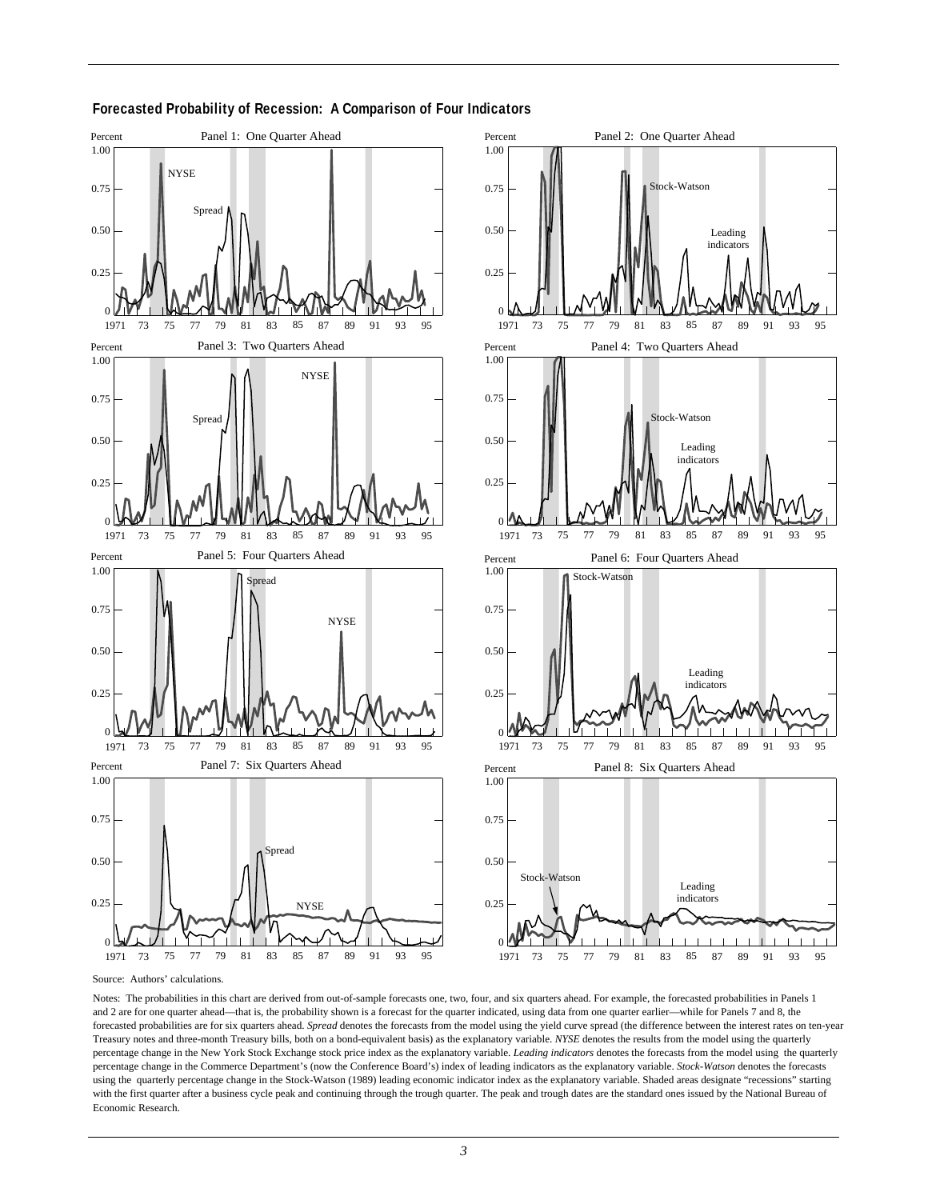

## **Forecasted Probability of Recession: A Comparison of Four Indicators**



Source: Authors' calculations.

Notes: The probabilities in this chart are derived from out-of-sample forecasts one, two, four, and six quarters ahead. For example, the forecasted probabilities in Panels 1 and 2 are for one quarter ahead—that is, the probability shown is a forecast for the quarter indicated, using data from one quarter earlier—while for Panels 7 and 8, the forecasted probabilities are for six quarters ahead. *Spread* denotes the forecasts from the model using the yield curve spread (the difference between the interest rates on ten-year Treasury notes and three-month Treasury bills, both on a bond-equivalent basis) as the explanatory variable. *NYSE* denotes the results from the model using the quarterly percentage change in the New York Stock Exchange stock price index as the explanatory variable. *Leading indicators* denotes the forecasts from the model using the quarterly percentage change in the Commerce Department's (now the Conference Board's) index of leading indicators as the explanatory variable. *Stock-Watson* denotes the forecasts using the quarterly percentage change in the Stock-Watson (1989) leading economic indicator index as the explanatory variable. Shaded areas designate "recessions" starting with the first quarter after a business cycle peak and continuing through the trough quarter. The peak and trough dates are the standard ones issued by the National Bureau of Economic Research.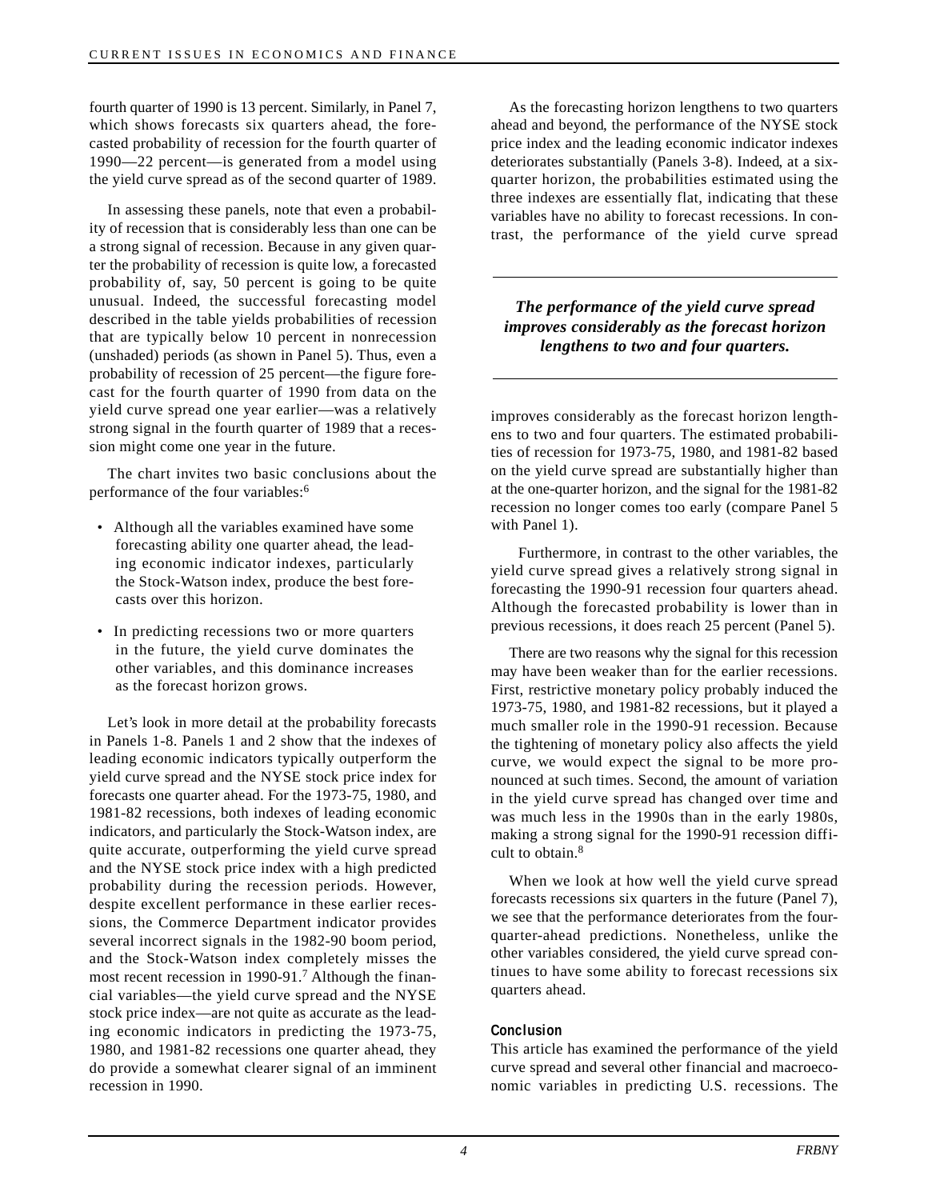fourth quarter of 1990 is 13 percent. Similarly, in Panel 7, which shows forecasts six quarters ahead, the forecasted probability of recession for the fourth quarter of 1990—22 percent—is generated from a model using the yield curve spread as of the second quarter of 1989.

In assessing these panels, note that even a probability of recession that is considerably less than one can be a strong signal of recession. Because in any given quarter the probability of recession is quite low, a forecasted probability of, say, 50 percent is going to be quite unusual. Indeed, the successful forecasting model described in the table yields probabilities of recession that are typically below 10 percent in nonrecession (unshaded) periods (as shown in Panel 5). Thus, even a probability of recession of 25 percent—the figure forecast for the fourth quarter of 1990 from data on the yield curve spread one year earlier—was a relatively strong signal in the fourth quarter of 1989 that a recession might come one year in the future.

The chart invites two basic conclusions about the performance of the four variables:<sup>6</sup>

- Although all the variables examined have some forecasting ability one quarter ahead, the leading economic indicator indexes, particularly the Stock-Watson index, produce the best forecasts over this horizon.
- In predicting recessions two or more quarters in the future, the yield curve dominates the other variables, and this dominance increases as the forecast horizon grows.

Let's look in more detail at the probability forecasts in Panels 1-8. Panels 1 and 2 show that the indexes of leading economic indicators typically outperform the yield curve spread and the NYSE stock price index for forecasts one quarter ahead. For the 1973-75, 1980, and 1981-82 recessions, both indexes of leading economic indicators, and particularly the Stock-Watson index, are quite accurate, outperforming the yield curve spread and the NYSE stock price index with a high predicted probability during the recession periods. However, despite excellent performance in these earlier recessions, the Commerce Department indicator provides several incorrect signals in the 1982-90 boom period, and the Stock-Watson index completely misses the most recent recession in 1990-91.<sup>7</sup> Although the financial variables—the yield curve spread and the NYSE stock price index—are not quite as accurate as the leading economic indicators in predicting the 1973-75, 1980, and 1981-82 recessions one quarter ahead, they do provide a somewhat clearer signal of an imminent recession in 1990.

As the forecasting horizon lengthens to two quarters ahead and beyond, the performance of the NYSE stock price index and the leading economic indicator indexes deteriorates substantially (Panels 3-8). Indeed, at a sixquarter horizon, the probabilities estimated using the three indexes are essentially flat, indicating that these variables have no ability to forecast recessions. In contrast, the performance of the yield curve spread

# *The performance of the yield curve spread improves considerably as the forecast horizon lengthens to two and four quarters.*

improves considerably as the forecast horizon lengthens to two and four quarters. The estimated probabilities of recession for 1973-75, 1980, and 1981-82 based on the yield curve spread are substantially higher than at the one-quarter horizon, and the signal for the 1981-82 recession no longer comes too early (compare Panel 5 with Panel 1).

Furthermore, in contrast to the other variables, the yield curve spread gives a relatively strong signal in forecasting the 1990-91 recession four quarters ahead. Although the forecasted probability is lower than in previous recessions, it does reach 25 percent (Panel 5).

There are two reasons why the signal for this recession may have been weaker than for the earlier recessions. First, restrictive monetary policy probably induced the 1973-75, 1980, and 1981-82 recessions, but it played a much smaller role in the 1990-91 recession. Because the tightening of monetary policy also affects the yield curve, we would expect the signal to be more pronounced at such times. Second, the amount of variation in the yield curve spread has changed over time and was much less in the 1990s than in the early 1980s, making a strong signal for the 1990-91 recession difficult to obtain.<sup>8</sup>

When we look at how well the yield curve spread forecasts recessions six quarters in the future (Panel 7), we see that the performance deteriorates from the fourquarter-ahead predictions. Nonetheless, unlike the other variables considered, the yield curve spread continues to have some ability to forecast recessions six quarters ahead.

# **Conclusion**

This article has examined the performance of the yield curve spread and several other financial and macroeconomic variables in predicting U.S. recessions. The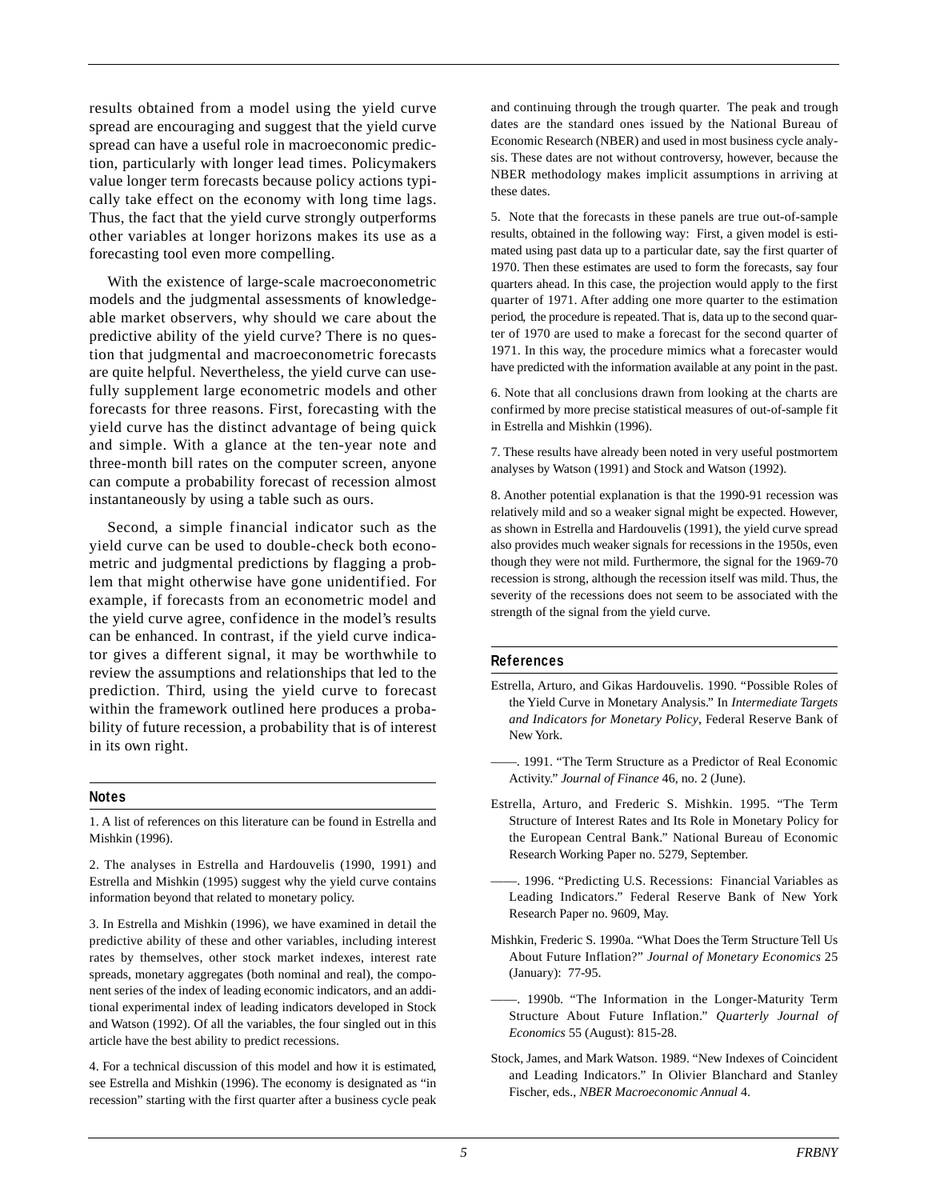results obtained from a model using the yield curve spread are encouraging and suggest that the yield curve spread can have a useful role in macroeconomic prediction, particularly with longer lead times. Policymakers value longer term forecasts because policy actions typically take effect on the economy with long time lags. Thus, the fact that the yield curve strongly outperforms other variables at longer horizons makes its use as a forecasting tool even more compelling.

With the existence of large-scale macroeconometric models and the judgmental assessments of knowledgeable market observers, why should we care about the predictive ability of the yield curve? There is no question that judgmental and macroeconometric forecasts are quite helpful. Nevertheless, the yield curve can usefully supplement large econometric models and other forecasts for three reasons. First, forecasting with the yield curve has the distinct advantage of being quick and simple. With a glance at the ten-year note and three-month bill rates on the computer screen, anyone can compute a probability forecast of recession almost instantaneously by using a table such as ours.

Second, a simple financial indicator such as the yield curve can be used to double-check both econometric and judgmental predictions by flagging a problem that might otherwise have gone unidentified. For example, if forecasts from an econometric model and the yield curve agree, confidence in the model's results can be enhanced. In contrast, if the yield curve indicator gives a different signal, it may be worthwhile to review the assumptions and relationships that led to the prediction. Third, using the yield curve to forecast within the framework outlined here produces a probability of future recession, a probability that is of interest in its own right.

#### **Notes**

1. A list of references on this literature can be found in Estrella and Mishkin (1996).

2. The analyses in Estrella and Hardouvelis (1990, 1991) and Estrella and Mishkin (1995) suggest why the yield curve contains information beyond that related to monetary policy.

3. In Estrella and Mishkin (1996), we have examined in detail the predictive ability of these and other variables, including interest rates by themselves, other stock market indexes, interest rate spreads, monetary aggregates (both nominal and real), the component series of the index of leading economic indicators, and an additional experimental index of leading indicators developed in Stock and Watson (1992). Of all the variables, the four singled out in this article have the best ability to predict recessions.

4. For a technical discussion of this model and how it is estimated, see Estrella and Mishkin (1996). The economy is designated as "in recession" starting with the first quarter after a business cycle peak

and continuing through the trough quarter. The peak and trough dates are the standard ones issued by the National Bureau of Economic Research (NBER) and used in most business cycle analysis. These dates are not without controversy, however, because the NBER methodology makes implicit assumptions in arriving at these dates.

5. Note that the forecasts in these panels are true out-of-sample results, obtained in the following way: First, a given model is estimated using past data up to a particular date, say the first quarter of 1970. Then these estimates are used to form the forecasts, say four quarters ahead. In this case, the projection would apply to the first quarter of 1971. After adding one more quarter to the estimation period, the procedure is repeated. That is, data up to the second quarter of 1970 are used to make a forecast for the second quarter of 1971. In this way, the procedure mimics what a forecaster would have predicted with the information available at any point in the past.

6. Note that all conclusions drawn from looking at the charts are confirmed by more precise statistical measures of out-of-sample fit in Estrella and Mishkin (1996).

7. These results have already been noted in very useful postmortem analyses by Watson (1991) and Stock and Watson (1992).

8. Another potential explanation is that the 1990-91 recession was relatively mild and so a weaker signal might be expected. However, as shown in Estrella and Hardouvelis (1991), the yield curve spread also provides much weaker signals for recessions in the 1950s, even though they were not mild. Furthermore, the signal for the 1969-70 recession is strong, although the recession itself was mild. Thus, the severity of the recessions does not seem to be associated with the strength of the signal from the yield curve.

#### **References**

- Estrella, Arturo, and Gikas Hardouvelis. 1990. "Possible Roles of the Yield Curve in Monetary Analysis." In *Intermediate Targets and Indicators for Monetary Policy*, Federal Reserve Bank of New York.
- ——. 1991. "The Term Structure as a Predictor of Real Economic Activity." *Journal of Finance* 46, no. 2 (June).
- Estrella, Arturo, and Frederic S. Mishkin. 1995. "The Term Structure of Interest Rates and Its Role in Monetary Policy for the European Central Bank." National Bureau of Economic Research Working Paper no. 5279, September.
- ——. 1996. "Predicting U.S. Recessions: Financial Variables as Leading Indicators." Federal Reserve Bank of New York Research Paper no. 9609, May.
- Mishkin, Frederic S. 1990a. "What Does the Term Structure Tell Us About Future Inflation?" *Journal of Monetary Economics* 25 (January): 77-95.
- ——. 1990b. "The Information in the Longer-Maturity Term Structure About Future Inflation." *Quarterly Journal of Economics* 55 (August): 815-28.
- Stock, James, and Mark Watson. 1989. "New Indexes of Coincident and Leading Indicators." In Olivier Blanchard and Stanley Fischer, eds., *NBER Macroeconomic Annual* 4.